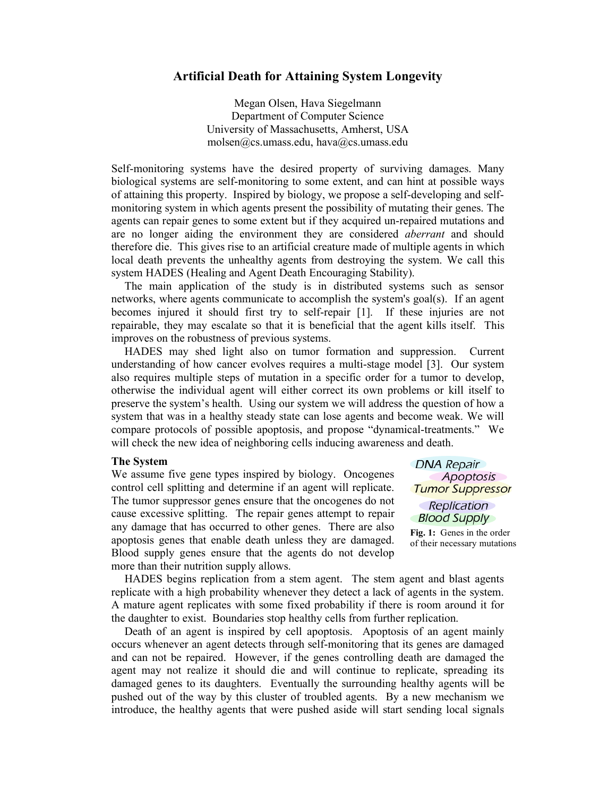## **Artificial Death for Attaining System Longevity**

Megan Olsen, Hava Siegelmann Department of Computer Science University of Massachusetts, Amherst, USA molsen@cs.umass.edu, hava@cs.umass.edu

Self-monitoring systems have the desired property of surviving damages. Many biological systems are self-monitoring to some extent, and can hint at possible ways of attaining this property. Inspired by biology, we propose a self-developing and selfmonitoring system in which agents present the possibility of mutating their genes. The agents can repair genes to some extent but if they acquired un-repaired mutations and are no longer aiding the environment they are considered *aberrant* and should therefore die. This gives rise to an artificial creature made of multiple agents in which local death prevents the unhealthy agents from destroying the system. We call this system HADES (Healing and Agent Death Encouraging Stability).

The main application of the study is in distributed systems such as sensor networks, where agents communicate to accomplish the system's goal(s). If an agent becomes injured it should first try to self-repair [1]. If these injuries are not repairable, they may escalate so that it is beneficial that the agent kills itself. This improves on the robustness of previous systems.

HADES may shed light also on tumor formation and suppression. Current understanding of how cancer evolves requires a multi-stage model [3]. Our system also requires multiple steps of mutation in a specific order for a tumor to develop, otherwise the individual agent will either correct its own problems or kill itself to preserve the system's health. Using our system we will address the question of how a system that was in a healthy steady state can lose agents and become weak. We will compare protocols of possible apoptosis, and propose "dynamical-treatments." We will check the new idea of neighboring cells inducing awareness and death.

## **The System**

We assume five gene types inspired by biology. Oncogenes control cell splitting and determine if an agent will replicate. The tumor suppressor genes ensure that the oncogenes do not cause excessive splitting. The repair genes attempt to repair any damage that has occurred to other genes. There are also apoptosis genes that enable death unless they are damaged. Blood supply genes ensure that the agents do not develop more than their nutrition supply allows.

**DNA Repair** Apoptosis **Tumor Suppressor** 

Replication **Blood Supply** 

**Fig. 1:** Genes in the order of their necessary mutations

HADES begins replication from a stem agent. The stem agent and blast agents replicate with a high probability whenever they detect a lack of agents in the system. A mature agent replicates with some fixed probability if there is room around it for the daughter to exist. Boundaries stop healthy cells from further replication.

Death of an agent is inspired by cell apoptosis. Apoptosis of an agent mainly occurs whenever an agent detects through self-monitoring that its genes are damaged and can not be repaired. However, if the genes controlling death are damaged the agent may not realize it should die and will continue to replicate, spreading its damaged genes to its daughters. Eventually the surrounding healthy agents will be pushed out of the way by this cluster of troubled agents. By a new mechanism we introduce, the healthy agents that were pushed aside will start sending local signals